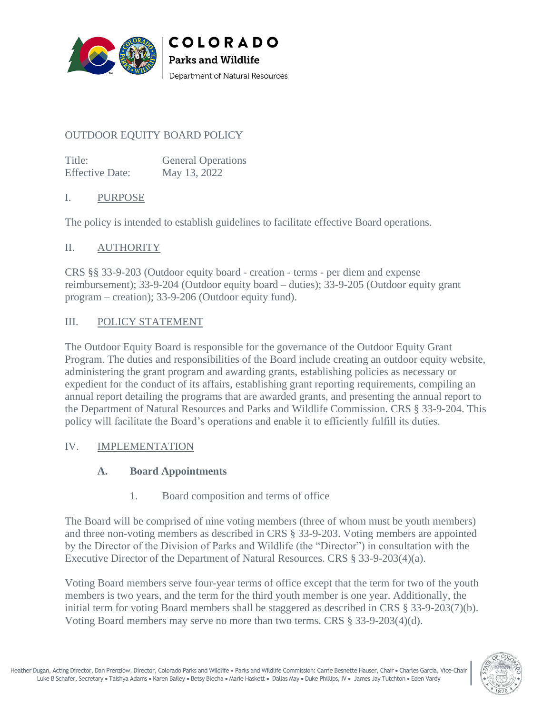

# OUTDOOR EQUITY BOARD POLICY

Title: General Operations Effective Date: May 13, 2022

#### I. PURPOSE

The policy is intended to establish guidelines to facilitate effective Board operations.

COLORADO

Department of Natural Resources

**Parks and Wildlife** 

#### II. AUTHORITY

CRS §§ 33-9-203 (Outdoor equity board - creation - terms - per diem and expense reimbursement); 33-9-204 (Outdoor equity board – duties); 33-9-205 (Outdoor equity grant program – creation); 33-9-206 (Outdoor equity fund).

#### III. POLICY STATEMENT

The Outdoor Equity Board is responsible for the governance of the Outdoor Equity Grant Program. The duties and responsibilities of the Board include creating an outdoor equity website, administering the grant program and awarding grants, establishing policies as necessary or expedient for the conduct of its affairs, establishing grant reporting requirements, compiling an annual report detailing the programs that are awarded grants, and presenting the annual report to the Department of Natural Resources and Parks and Wildlife Commission. CRS § 33-9-204. This policy will facilitate the Board's operations and enable it to efficiently fulfill its duties.

#### IV. IMPLEMENTATION

#### **A. Board Appointments**

#### 1. Board composition and terms of office

The Board will be comprised of nine voting members (three of whom must be youth members) and three non-voting members as described in CRS § 33-9-203. Voting members are appointed by the Director of the Division of Parks and Wildlife (the "Director") in consultation with the Executive Director of the Department of Natural Resources. CRS § 33-9-203(4)(a).

Voting Board members serve four-year terms of office except that the term for two of the youth members is two years, and the term for the third youth member is one year. Additionally, the initial term for voting Board members shall be staggered as described in CRS § 33-9-203(7)(b). Voting Board members may serve no more than two terms. CRS § 33-9-203(4)(d).

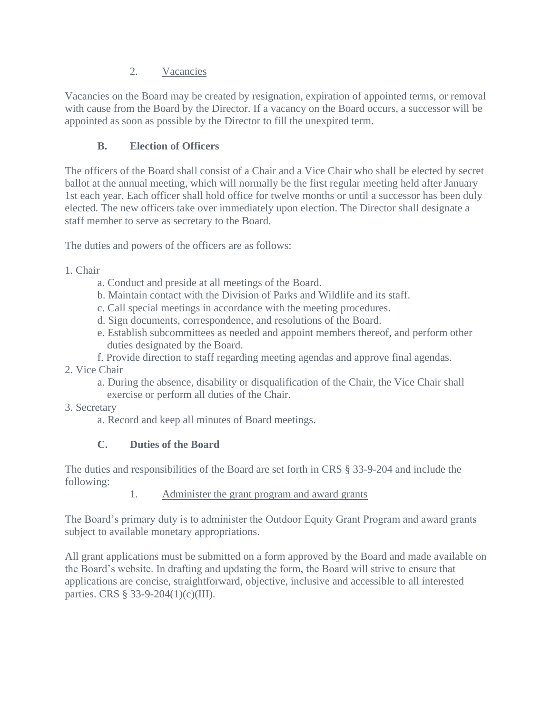## 2. Vacancies

Vacancies on the Board may be created by resignation, expiration of appointed terms, or removal with cause from the Board by the Director. If a vacancy on the Board occurs, a successor will be appointed as soon as possible by the Director to fill the unexpired term.

# **B. Election of Officers**

The officers of the Board shall consist of a Chair and a Vice Chair who shall be elected by secret ballot at the annual meeting, which will normally be the first regular meeting held after January 1st each year. Each officer shall hold office for twelve months or until a successor has been duly elected. The new officers take over immediately upon election. The Director shall designate a staff member to serve as secretary to the Board.

The duties and powers of the officers are as follows:

## 1. Chair

- a. Conduct and preside at all meetings of the Board.
- b. Maintain contact with the Division of Parks and Wildlife and its staff.
- c. Call special meetings in accordance with the meeting procedures.
- d. Sign documents, correspondence, and resolutions of the Board.
- e. Establish subcommittees as needed and appoint members thereof, and perform other duties designated by the Board.
- f. Provide direction to staff regarding meeting agendas and approve final agendas.
- 2. Vice Chair
	- a. During the absence, disability or disqualification of the Chair, the Vice Chair shall exercise or perform all duties of the Chair.
- 3. Secretary
	- a. Record and keep all minutes of Board meetings.

# **C. Duties of the Board**

The duties and responsibilities of the Board are set forth in CRS § 33-9-204 and include the following:

1. Administer the grant program and award grants

The Board's primary duty is to administer the Outdoor Equity Grant Program and award grants subject to available monetary appropriations.

All grant applications must be submitted on a form approved by the Board and made available on the Board's website. In drafting and updating the form, the Board will strive to ensure that applications are concise, straightforward, objective, inclusive and accessible to all interested parties. CRS § 33-9-204(1)(c)(III).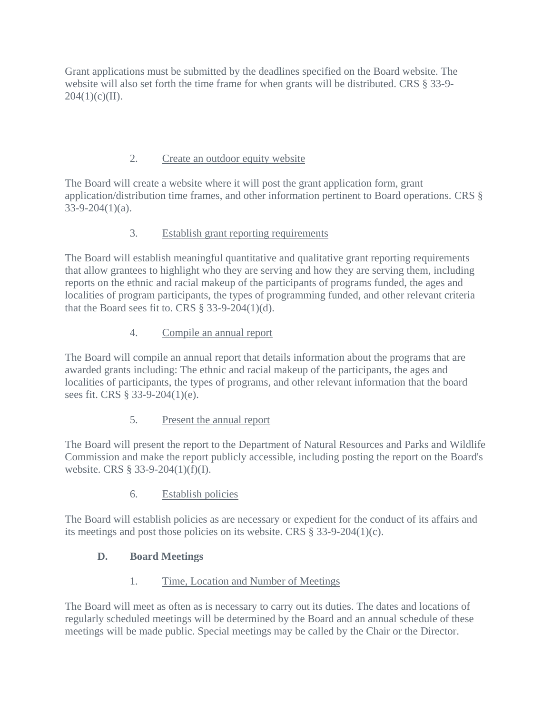Grant applications must be submitted by the deadlines specified on the Board website. The website will also set forth the time frame for when grants will be distributed. CRS § 33-9-  $204(1)(c)(II)$ .

# 2. Create an outdoor equity website

The Board will create a website where it will post the grant application form, grant application/distribution time frames, and other information pertinent to Board operations. CRS § 33-9-204(1)(a).

# 3. Establish grant reporting requirements

The Board will establish meaningful quantitative and qualitative grant reporting requirements that allow grantees to highlight who they are serving and how they are serving them, including reports on the ethnic and racial makeup of the participants of programs funded, the ages and localities of program participants, the types of programming funded, and other relevant criteria that the Board sees fit to. CRS  $\S$  33-9-204(1)(d).

# 4. Compile an annual report

The Board will compile an annual report that details information about the programs that are awarded grants including: The ethnic and racial makeup of the participants, the ages and localities of participants, the types of programs, and other relevant information that the board sees fit. CRS § 33-9-204(1)(e).

# 5. Present the annual report

The Board will present the report to the Department of Natural Resources and Parks and Wildlife Commission and make the report publicly accessible, including posting the report on the Board's website. CRS § 33-9-204(1)(f)(I).

## 6. Establish policies

The Board will establish policies as are necessary or expedient for the conduct of its affairs and its meetings and post those policies on its website. CRS § 33-9-204(1)(c).

# **D. Board Meetings**

## 1. Time, Location and Number of Meetings

The Board will meet as often as is necessary to carry out its duties. The dates and locations of regularly scheduled meetings will be determined by the Board and an annual schedule of these meetings will be made public. Special meetings may be called by the Chair or the Director.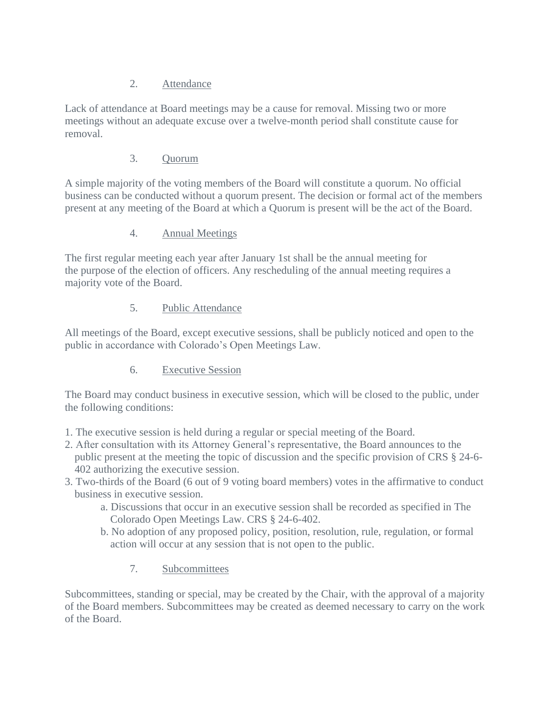## 2. Attendance

Lack of attendance at Board meetings may be a cause for removal. Missing two or more meetings without an adequate excuse over a twelve-month period shall constitute cause for removal.

#### 3. Quorum

A simple majority of the voting members of the Board will constitute a quorum. No official business can be conducted without a quorum present. The decision or formal act of the members present at any meeting of the Board at which a Quorum is present will be the act of the Board.

#### 4. Annual Meetings

The first regular meeting each year after January 1st shall be the annual meeting for the purpose of the election of officers. Any rescheduling of the annual meeting requires a majority vote of the Board.

## 5. Public Attendance

All meetings of the Board, except executive sessions, shall be publicly noticed and open to the public in accordance with Colorado's Open Meetings Law.

## 6. Executive Session

The Board may conduct business in executive session, which will be closed to the public, under the following conditions:

- 1. The executive session is held during a regular or special meeting of the Board.
- 2. After consultation with its Attorney General's representative, the Board announces to the public present at the meeting the topic of discussion and the specific provision of CRS § 24-6- 402 authorizing the executive session.
- 3. Two-thirds of the Board (6 out of 9 voting board members) votes in the affirmative to conduct business in executive session.
	- a. Discussions that occur in an executive session shall be recorded as specified in The Colorado Open Meetings Law. CRS § 24-6-402.
	- b. No adoption of any proposed policy, position, resolution, rule, regulation, or formal action will occur at any session that is not open to the public.

## 7. Subcommittees

Subcommittees, standing or special, may be created by the Chair, with the approval of a majority of the Board members. Subcommittees may be created as deemed necessary to carry on the work of the Board.